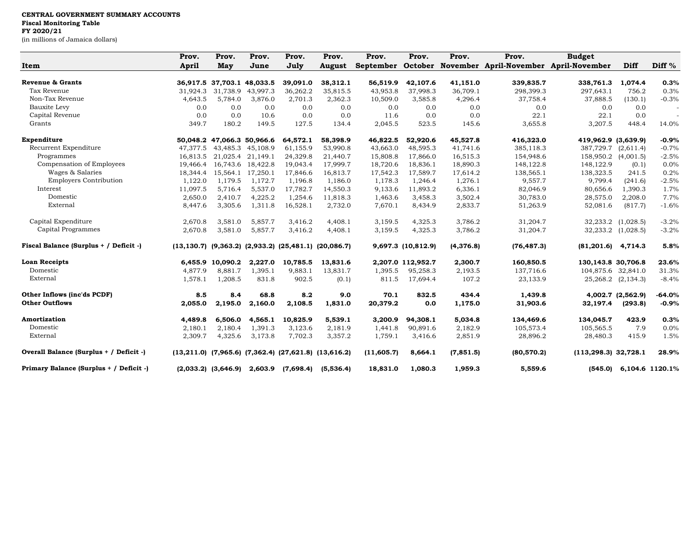## **CENTRAL GOVERNMENT SUMMARY ACCOUNTS Fiscal Monitoring Table FY 2020/21**

(in millions of Jamaica dollars)

|                                         | Prov.        | Prov.                      | Prov.             | Prov.                                                               | Prov.         | Prov.      | Prov.              | Prov.      | Prov.                                  | <b>Budget</b>           |                    |                 |
|-----------------------------------------|--------------|----------------------------|-------------------|---------------------------------------------------------------------|---------------|------------|--------------------|------------|----------------------------------------|-------------------------|--------------------|-----------------|
| Item                                    | <b>April</b> | May                        | June              | July                                                                | <b>August</b> | September  | October            |            | November April-November April-November |                         | Diff               | Diff %          |
| <b>Revenue &amp; Grants</b>             |              | 36,917.5 37,703.1 48,033.5 |                   | 39,091.0                                                            | 38,312.1      | 56,519.9   | 42,107.6           | 41,151.0   | 339,835.7                              | 338,761.3               | 1,074.4            | 0.3%            |
| Tax Revenue                             | 31,924.3     | 31,738.9                   | 43,997.3          | 36,262.2                                                            | 35,815.5      | 43,953.8   | 37,998.3           | 36,709.1   | 298,399.3                              | 297,643.1               | 756.2              | 0.3%            |
| Non-Tax Revenue                         | 4,643.5      | 5.784.0                    | 3,876.0           | 2,701.3                                                             | 2,362.3       | 10,509.0   | 3,585.8            | 4,296.4    | 37,758.4                               | 37,888.5                | (130.1)            | $-0.3%$         |
| Bauxite Levy                            | 0.0          | 0.0                        | 0.0               | 0.0                                                                 | 0.0           | 0.0        | 0.0                | 0.0        | 0.0                                    | 0.0                     | 0.0                |                 |
| Capital Revenue                         | 0.0          | 0.0                        | 10.6              | 0.0                                                                 | 0.0           | 11.6       | 0.0                | 0.0        | 22.1                                   | 22.1                    | 0.0                |                 |
| Grants                                  | 349.7        | 180.2                      | 149.5             | 127.5                                                               | 134.4         | 2,045.5    | 523.5              | 145.6      | 3,655.8                                | 3,207.5                 | 448.4              | 14.0%           |
| Expenditure                             |              | 50,048.2 47,066.3 50,966.6 |                   | 64,572.1                                                            | 58,398.9      | 46,822.5   | 52,920.6           | 45,527.8   | 416,323.0                              | 419,962.9 (3,639.9)     |                    | $-0.9%$         |
| Recurrent Expenditure                   | 47,377.5     |                            | 43,485.3 45,108.9 | 61,155.9                                                            | 53,990.8      | 43,663.0   | 48,595.3           | 41,741.6   | 385,118.3                              | 387,729.7               | (2,611.4)          | $-0.7%$         |
| Programmes                              | 16,813.5     |                            | 21,025.4 21,149.1 | 24,329.8                                                            | 21,440.7      | 15,808.8   | 17,866.0           | 16,515.3   | 154,948.6                              | 158,950.2               | (4,001.5)          | $-2.5%$         |
| Compensation of Employees               | 19,466.4     |                            | 16,743.6 18,422.8 | 19,043.4                                                            | 17,999.7      | 18,720.6   | 18,836.1           | 18,890.3   | 148,122.8                              | 148,122.9               | (0.1)              | 0.0%            |
| Wages & Salaries                        | 18,344.4     |                            | 15,564.1 17,250.1 | 17,846.6                                                            | 16,813.7      | 17,542.3   | 17,589.7           | 17,614.2   | 138,565.1                              | 138,323.5               | 241.5              | 0.2%            |
| <b>Employers Contribution</b>           | 1,122.0      | 1,179.5                    | 1,172.7           | 1,196.8                                                             | 1,186.0       | 1,178.3    | 1,246.4            | 1,276.1    | 9,557.7                                | 9,799.4                 | (241.6)            | $-2.5%$         |
| Interest                                | 11,097.5     | 5,716.4                    | 5,537.0           | 17,782.7                                                            | 14,550.3      | 9,133.6    | 11,893.2           | 6,336.1    | 82,046.9                               | 80,656.6                | 1,390.3            | 1.7%            |
| Domestic                                | 2,650.0      | 2.410.7                    | 4,225.2           | 1,254.6                                                             | 11,818.3      | 1,463.6    | 3,458.3            | 3,502.4    | 30,783.0                               | 28,575.0                | 2,208.0            | 7.7%            |
| External                                | 8,447.6      | 3,305.6                    | 1,311.8           | 16,528.1                                                            | 2,732.0       | 7,670.1    | 8,434.9            | 2,833.7    | 51,263.9                               | 52,081.6                | (817.7)            | $-1.6%$         |
| Capital Expenditure                     | 2,670.8      | 3,581.0                    | 5,857.7           | 3,416.2                                                             | 4,408.1       | 3,159.5    | 4,325.3            | 3,786.2    | 31,204.7                               |                         | 32,233.2 (1,028.5) | $-3.2%$         |
| Capital Programmes                      | 2,670.8      | 3,581.0                    | 5,857.7           | 3,416.2                                                             | 4,408.1       | 3,159.5    | 4,325.3            | 3,786.2    | 31,204.7                               |                         | 32,233.2 (1,028.5) | $-3.2%$         |
| Fiscal Balance (Surplus + / Deficit -)  |              |                            |                   | $(13, 130.7)$ $(9, 363.2)$ $(2, 933.2)$ $(25, 481.1)$ $(20, 086.7)$ |               |            | 9,697.3 (10,812.9) | (4,376.8)  | (76, 487.3)                            | (81, 201.6)             | 4,714.3            | 5.8%            |
| <b>Loan Receipts</b>                    |              | 6.455.9 10.090.2           | 2,227.0           | 10.785.5                                                            | 13,831.6      |            | 2,207.0 112,952.7  | 2,300.7    | 160,850.5                              | 130, 143.8 30, 706.8    |                    | 23.6%           |
| Domestic                                | 4,877.9      | 8,881.7                    | 1,395.1           | 9,883.1                                                             | 13,831.7      | 1,395.5    | 95,258.3           | 2,193.5    | 137,716.6                              | 104,875.6 32,841.0      |                    | 31.3%           |
| External                                | 1,578.1      | 1,208.5                    | 831.8             | 902.5                                                               | (0.1)         | 811.5      | 17,694.4           | 107.2      | 23,133.9                               |                         | 25,268.2 (2,134.3) | $-8.4%$         |
| Other Inflows (inc'ds PCDF)             | 8.5          | 8.4                        | 68.8              | 8.2                                                                 | 9.0           | 70.1       | 832.5              | 434.4      | 1,439.8                                |                         | 4,002.7 (2,562.9)  | $-64.0%$        |
| <b>Other Outflows</b>                   | 2,055.0      | 2,195.0                    | 2,160.0           | 2,108.5                                                             | 1,831.0       | 20,379.2   | 0.0                | 1,175.0    | 31,903.6                               | 32,197.4                | (293.8)            | $-0.9%$         |
| <b>Amortization</b>                     | 4,489.8      | 6,506.0                    | 4,565.1           | 10,825.9                                                            | 5,539.1       | 3,200.9    | 94,308.1           | 5,034.8    | 134,469.6                              | 134,045.7               | 423.9              | 0.3%            |
| Domestic                                | 2,180.1      | 2,180.4                    | 1,391.3           | 3,123.6                                                             | 2,181.9       | 1,441.8    | 90,891.6           | 2,182.9    | 105,573.4                              | 105,565.5               | 7.9                | 0.0%            |
| External                                | 2,309.7      | 4,325.6                    | 3,173.8           | 7,702.3                                                             | 3,357.2       | 1,759.1    | 3,416.6            | 2,851.9    | 28,896.2                               | 28,480.3                | 415.9              | 1.5%            |
| Overall Balance (Surplus + / Deficit -) |              |                            |                   | $(13,211.0)$ $(7,965.6)$ $(7,362.4)$ $(27,621.8)$ $(13,616.2)$      |               | (11,605.7) | 8,664.1            | (7, 851.5) | (80, 570.2)                            | $(113, 298.3)$ 32,728.1 |                    | 28.9%           |
| Primary Balance (Surplus + / Deficit -) |              | $(2,033.2)$ $(3,646.9)$    | 2,603.9           | (7,698.4)                                                           | (5,536.4)     | 18,831.0   | 1,080.3            | 1,959.3    | 5,559.6                                | (545.0)                 |                    | 6,104.6 1120.1% |